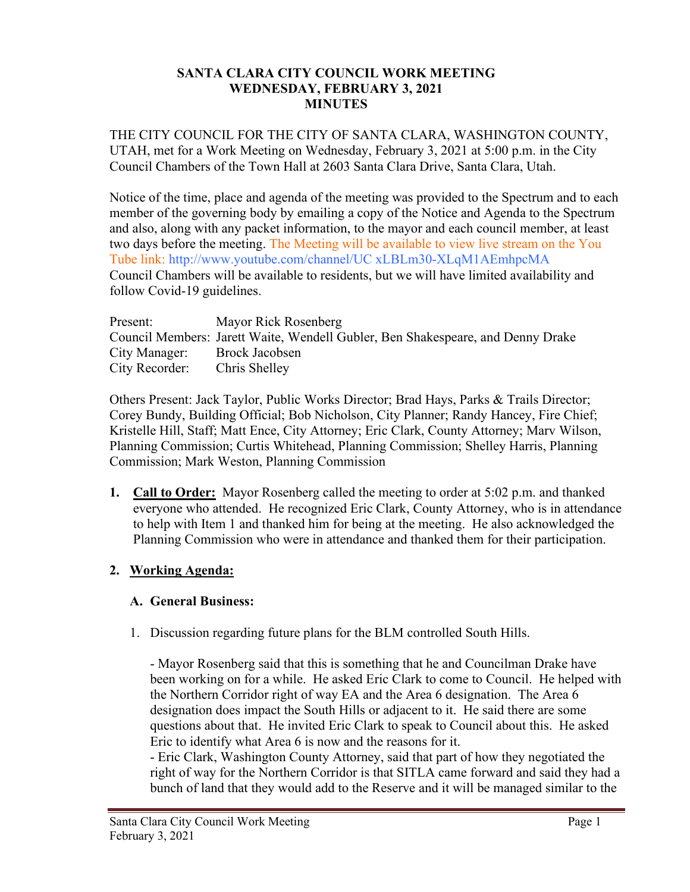#### **SANTA CLARA CITY COUNCIL WORK MEETING WEDNESDAY, FEBRUARY 3, 2021 MINUTES**

THE CITY COUNCIL FOR THE CITY OF SANTA CLARA, WASHINGTON COUNTY, UTAH, met for a Work Meeting on Wednesday, February 3, 2021 at 5:00 p.m. in the City Council Chambers of the Town Hall at 2603 Santa Clara Drive, Santa Clara, Utah.

Notice of the time, place and agenda of the meeting was provided to the Spectrum and to each member of the governing body by emailing a copy of the Notice and Agenda to the Spectrum and also, along with any packet information, to the mayor and each council member, at least two days before the meeting. The Meeting will be available to view live stream on the You Tube link: http://www.youtube.com/channel/UC xLBLm30-XLqM1AEmhpcMA Council Chambers will be available to residents, but we will have limited availability and follow Covid-19 guidelines.

| Present:       | Mayor Rick Rosenberg                                                            |
|----------------|---------------------------------------------------------------------------------|
|                | Council Members: Jarett Waite, Wendell Gubler, Ben Shakespeare, and Denny Drake |
| City Manager:  | Brock Jacobsen                                                                  |
| City Recorder: | Chris Shelley                                                                   |

Others Present: Jack Taylor, Public Works Director; Brad Hays, Parks & Trails Director; Corey Bundy, Building Official; Bob Nicholson, City Planner; Randy Hancey, Fire Chief; Kristelle Hill, Staff; Matt Ence, City Attorney; Eric Clark, County Attorney; Marv Wilson, Planning Commission; Curtis Whitehead, Planning Commission; Shelley Harris, Planning Commission; Mark Weston, Planning Commission

**1. Call to Order:** Mayor Rosenberg called the meeting to order at 5:02 p.m. and thanked everyone who attended. He recognized Eric Clark, County Attorney, who is in attendance to help with Item 1 and thanked him for being at the meeting. He also acknowledged the Planning Commission who were in attendance and thanked them for their participation.

## **2. Working Agenda:**

## **A. General Business:**

1. Discussion regarding future plans for the BLM controlled South Hills.

- Mayor Rosenberg said that this is something that he and Councilman Drake have been working on for a while. He asked Eric Clark to come to Council. He helped with the Northern Corridor right of way EA and the Area 6 designation. The Area 6 designation does impact the South Hills or adjacent to it. He said there are some questions about that. He invited Eric Clark to speak to Council about this. He asked Eric to identify what Area 6 is now and the reasons for it.

- Eric Clark, Washington County Attorney, said that part of how they negotiated the right of way for the Northern Corridor is that SITLA came forward and said they had a bunch of land that they would add to the Reserve and it will be managed similar to the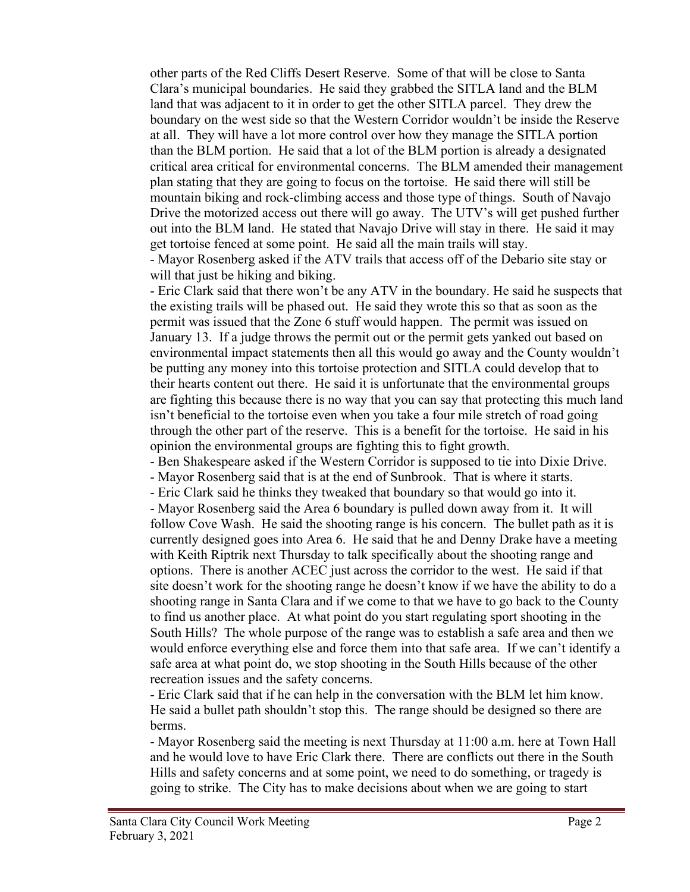other parts of the Red Cliffs Desert Reserve. Some of that will be close to Santa Clara's municipal boundaries. He said they grabbed the SITLA land and the BLM land that was adjacent to it in order to get the other SITLA parcel. They drew the boundary on the west side so that the Western Corridor wouldn't be inside the Reserve at all. They will have a lot more control over how they manage the SITLA portion than the BLM portion. He said that a lot of the BLM portion is already a designated critical area critical for environmental concerns. The BLM amended their management plan stating that they are going to focus on the tortoise. He said there will still be mountain biking and rock-climbing access and those type of things. South of Navajo Drive the motorized access out there will go away. The UTV's will get pushed further out into the BLM land. He stated that Navajo Drive will stay in there. He said it may get tortoise fenced at some point. He said all the main trails will stay. - Mayor Rosenberg asked if the ATV trails that access off of the Debario site stay or will that just be hiking and biking.

- Eric Clark said that there won't be any ATV in the boundary. He said he suspects that the existing trails will be phased out. He said they wrote this so that as soon as the permit was issued that the Zone 6 stuff would happen. The permit was issued on January 13. If a judge throws the permit out or the permit gets yanked out based on environmental impact statements then all this would go away and the County wouldn't be putting any money into this tortoise protection and SITLA could develop that to their hearts content out there. He said it is unfortunate that the environmental groups are fighting this because there is no way that you can say that protecting this much land isn't beneficial to the tortoise even when you take a four mile stretch of road going through the other part of the reserve. This is a benefit for the tortoise. He said in his opinion the environmental groups are fighting this to fight growth.

- Ben Shakespeare asked if the Western Corridor is supposed to tie into Dixie Drive.

- Mayor Rosenberg said that is at the end of Sunbrook. That is where it starts.

- Eric Clark said he thinks they tweaked that boundary so that would go into it. - Mayor Rosenberg said the Area 6 boundary is pulled down away from it. It will follow Cove Wash. He said the shooting range is his concern. The bullet path as it is currently designed goes into Area 6. He said that he and Denny Drake have a meeting with Keith Riptrik next Thursday to talk specifically about the shooting range and options. There is another ACEC just across the corridor to the west. He said if that site doesn't work for the shooting range he doesn't know if we have the ability to do a shooting range in Santa Clara and if we come to that we have to go back to the County to find us another place. At what point do you start regulating sport shooting in the South Hills? The whole purpose of the range was to establish a safe area and then we would enforce everything else and force them into that safe area. If we can't identify a safe area at what point do, we stop shooting in the South Hills because of the other recreation issues and the safety concerns.

- Eric Clark said that if he can help in the conversation with the BLM let him know. He said a bullet path shouldn't stop this. The range should be designed so there are berms.

- Mayor Rosenberg said the meeting is next Thursday at 11:00 a.m. here at Town Hall and he would love to have Eric Clark there. There are conflicts out there in the South Hills and safety concerns and at some point, we need to do something, or tragedy is going to strike. The City has to make decisions about when we are going to start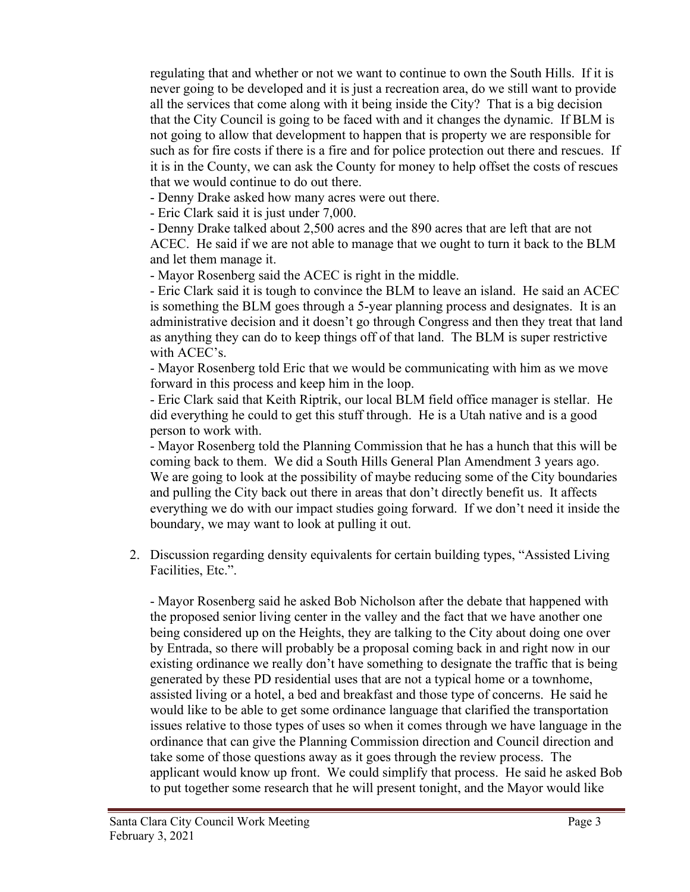regulating that and whether or not we want to continue to own the South Hills. If it is never going to be developed and it is just a recreation area, do we still want to provide all the services that come along with it being inside the City? That is a big decision that the City Council is going to be faced with and it changes the dynamic. If BLM is not going to allow that development to happen that is property we are responsible for such as for fire costs if there is a fire and for police protection out there and rescues. If it is in the County, we can ask the County for money to help offset the costs of rescues that we would continue to do out there.

- Denny Drake asked how many acres were out there.

- Eric Clark said it is just under 7,000.

- Denny Drake talked about 2,500 acres and the 890 acres that are left that are not ACEC. He said if we are not able to manage that we ought to turn it back to the BLM and let them manage it.

- Mayor Rosenberg said the ACEC is right in the middle.

- Eric Clark said it is tough to convince the BLM to leave an island. He said an ACEC is something the BLM goes through a 5-year planning process and designates. It is an administrative decision and it doesn't go through Congress and then they treat that land as anything they can do to keep things off of that land. The BLM is super restrictive with ACEC's.

- Mayor Rosenberg told Eric that we would be communicating with him as we move forward in this process and keep him in the loop.

- Eric Clark said that Keith Riptrik, our local BLM field office manager is stellar. He did everything he could to get this stuff through. He is a Utah native and is a good person to work with.

- Mayor Rosenberg told the Planning Commission that he has a hunch that this will be coming back to them. We did a South Hills General Plan Amendment 3 years ago. We are going to look at the possibility of maybe reducing some of the City boundaries and pulling the City back out there in areas that don't directly benefit us. It affects everything we do with our impact studies going forward. If we don't need it inside the boundary, we may want to look at pulling it out.

2. Discussion regarding density equivalents for certain building types, "Assisted Living Facilities, Etc.".

- Mayor Rosenberg said he asked Bob Nicholson after the debate that happened with the proposed senior living center in the valley and the fact that we have another one being considered up on the Heights, they are talking to the City about doing one over by Entrada, so there will probably be a proposal coming back in and right now in our existing ordinance we really don't have something to designate the traffic that is being generated by these PD residential uses that are not a typical home or a townhome, assisted living or a hotel, a bed and breakfast and those type of concerns. He said he would like to be able to get some ordinance language that clarified the transportation issues relative to those types of uses so when it comes through we have language in the ordinance that can give the Planning Commission direction and Council direction and take some of those questions away as it goes through the review process. The applicant would know up front. We could simplify that process. He said he asked Bob to put together some research that he will present tonight, and the Mayor would like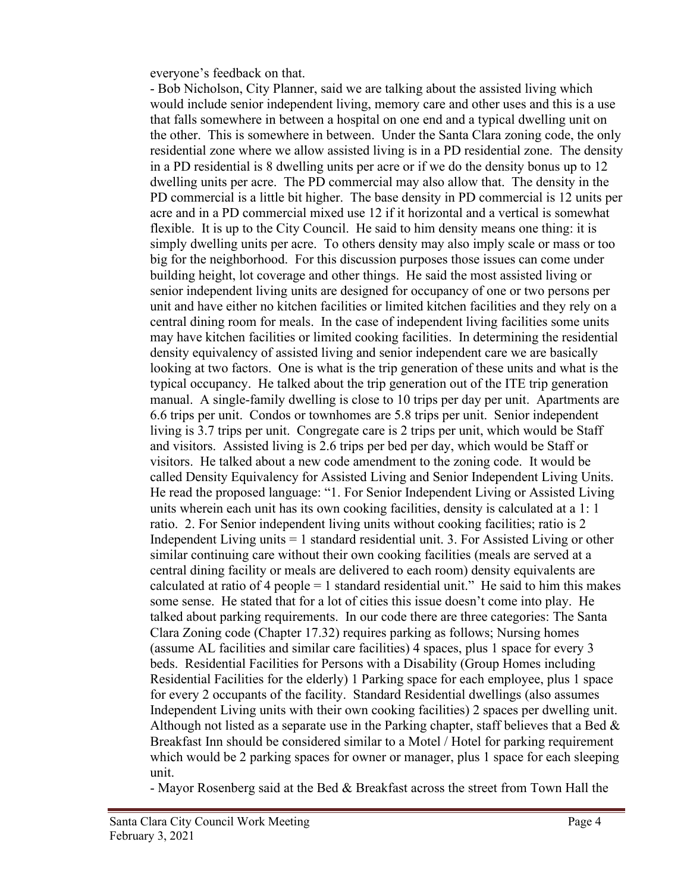everyone's feedback on that.

- Bob Nicholson, City Planner, said we are talking about the assisted living which would include senior independent living, memory care and other uses and this is a use that falls somewhere in between a hospital on one end and a typical dwelling unit on the other. This is somewhere in between. Under the Santa Clara zoning code, the only residential zone where we allow assisted living is in a PD residential zone. The density in a PD residential is 8 dwelling units per acre or if we do the density bonus up to 12 dwelling units per acre. The PD commercial may also allow that. The density in the PD commercial is a little bit higher. The base density in PD commercial is 12 units per acre and in a PD commercial mixed use 12 if it horizontal and a vertical is somewhat flexible. It is up to the City Council. He said to him density means one thing: it is simply dwelling units per acre. To others density may also imply scale or mass or too big for the neighborhood. For this discussion purposes those issues can come under building height, lot coverage and other things. He said the most assisted living or senior independent living units are designed for occupancy of one or two persons per unit and have either no kitchen facilities or limited kitchen facilities and they rely on a central dining room for meals. In the case of independent living facilities some units may have kitchen facilities or limited cooking facilities. In determining the residential density equivalency of assisted living and senior independent care we are basically looking at two factors. One is what is the trip generation of these units and what is the typical occupancy. He talked about the trip generation out of the ITE trip generation manual. A single-family dwelling is close to 10 trips per day per unit. Apartments are 6.6 trips per unit. Condos or townhomes are 5.8 trips per unit. Senior independent living is 3.7 trips per unit. Congregate care is 2 trips per unit, which would be Staff and visitors. Assisted living is 2.6 trips per bed per day, which would be Staff or visitors. He talked about a new code amendment to the zoning code. It would be called Density Equivalency for Assisted Living and Senior Independent Living Units. He read the proposed language: "1. For Senior Independent Living or Assisted Living units wherein each unit has its own cooking facilities, density is calculated at a 1: 1 ratio. 2. For Senior independent living units without cooking facilities; ratio is 2 Independent Living units = 1 standard residential unit. 3. For Assisted Living or other similar continuing care without their own cooking facilities (meals are served at a central dining facility or meals are delivered to each room) density equivalents are calculated at ratio of 4 people  $= 1$  standard residential unit." He said to him this makes some sense. He stated that for a lot of cities this issue doesn't come into play. He talked about parking requirements. In our code there are three categories: The Santa Clara Zoning code (Chapter 17.32) requires parking as follows; Nursing homes (assume AL facilities and similar care facilities) 4 spaces, plus 1 space for every 3 beds. Residential Facilities for Persons with a Disability (Group Homes including Residential Facilities for the elderly) 1 Parking space for each employee, plus 1 space for every 2 occupants of the facility. Standard Residential dwellings (also assumes Independent Living units with their own cooking facilities) 2 spaces per dwelling unit. Although not listed as a separate use in the Parking chapter, staff believes that a Bed  $\&$ Breakfast Inn should be considered similar to a Motel / Hotel for parking requirement which would be 2 parking spaces for owner or manager, plus 1 space for each sleeping unit.

- Mayor Rosenberg said at the Bed & Breakfast across the street from Town Hall the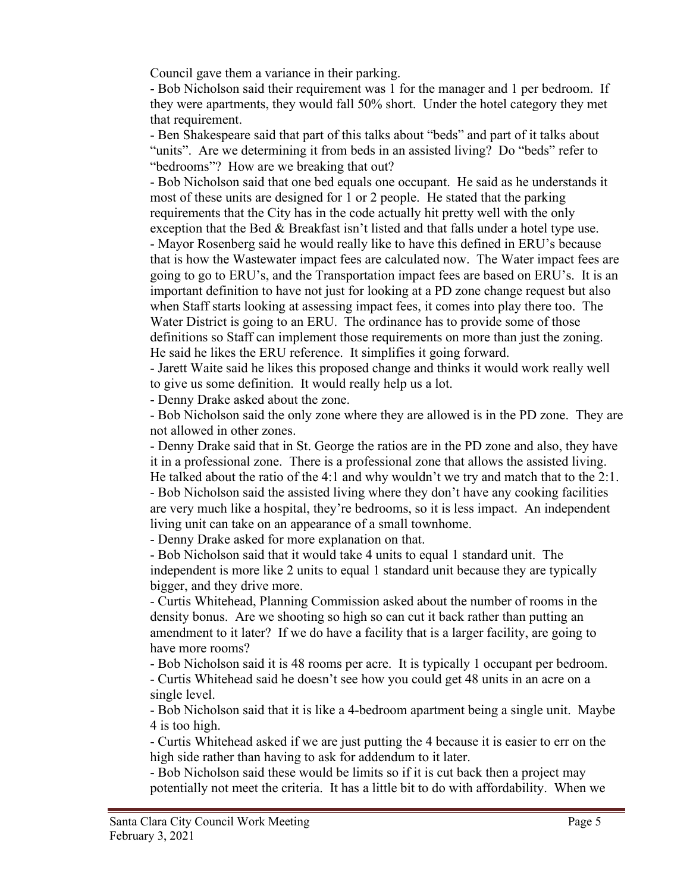Council gave them a variance in their parking.

- Bob Nicholson said their requirement was 1 for the manager and 1 per bedroom. If they were apartments, they would fall 50% short. Under the hotel category they met that requirement.

- Ben Shakespeare said that part of this talks about "beds" and part of it talks about "units". Are we determining it from beds in an assisted living? Do "beds" refer to "bedrooms"? How are we breaking that out?

- Bob Nicholson said that one bed equals one occupant. He said as he understands it most of these units are designed for 1 or 2 people. He stated that the parking requirements that the City has in the code actually hit pretty well with the only exception that the Bed & Breakfast isn't listed and that falls under a hotel type use. - Mayor Rosenberg said he would really like to have this defined in ERU's because that is how the Wastewater impact fees are calculated now. The Water impact fees are going to go to ERU's, and the Transportation impact fees are based on ERU's. It is an important definition to have not just for looking at a PD zone change request but also when Staff starts looking at assessing impact fees, it comes into play there too. The Water District is going to an ERU. The ordinance has to provide some of those definitions so Staff can implement those requirements on more than just the zoning. He said he likes the ERU reference. It simplifies it going forward.

- Jarett Waite said he likes this proposed change and thinks it would work really well to give us some definition. It would really help us a lot.

- Denny Drake asked about the zone.

- Bob Nicholson said the only zone where they are allowed is in the PD zone. They are not allowed in other zones.

- Denny Drake said that in St. George the ratios are in the PD zone and also, they have it in a professional zone. There is a professional zone that allows the assisted living. He talked about the ratio of the 4:1 and why wouldn't we try and match that to the 2:1.

- Bob Nicholson said the assisted living where they don't have any cooking facilities are very much like a hospital, they're bedrooms, so it is less impact. An independent living unit can take on an appearance of a small townhome.

- Denny Drake asked for more explanation on that.

- Bob Nicholson said that it would take 4 units to equal 1 standard unit. The independent is more like 2 units to equal 1 standard unit because they are typically bigger, and they drive more.

- Curtis Whitehead, Planning Commission asked about the number of rooms in the density bonus. Are we shooting so high so can cut it back rather than putting an amendment to it later? If we do have a facility that is a larger facility, are going to have more rooms?

- Bob Nicholson said it is 48 rooms per acre. It is typically 1 occupant per bedroom.

- Curtis Whitehead said he doesn't see how you could get 48 units in an acre on a single level.

- Bob Nicholson said that it is like a 4-bedroom apartment being a single unit. Maybe 4 is too high.

- Curtis Whitehead asked if we are just putting the 4 because it is easier to err on the high side rather than having to ask for addendum to it later.

- Bob Nicholson said these would be limits so if it is cut back then a project may potentially not meet the criteria. It has a little bit to do with affordability. When we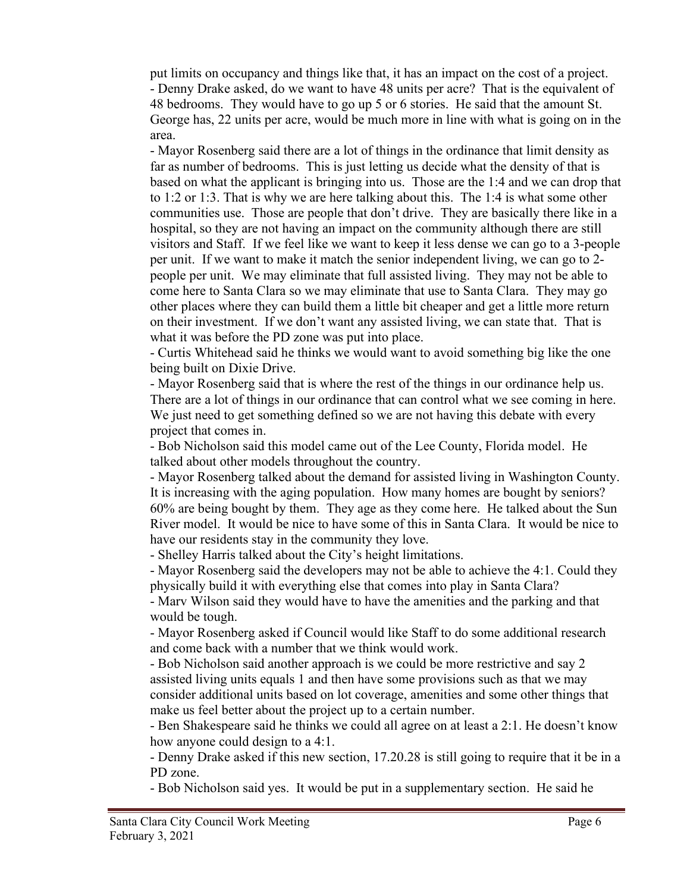put limits on occupancy and things like that, it has an impact on the cost of a project. - Denny Drake asked, do we want to have 48 units per acre? That is the equivalent of 48 bedrooms. They would have to go up 5 or 6 stories. He said that the amount St. George has, 22 units per acre, would be much more in line with what is going on in the area.

- Mayor Rosenberg said there are a lot of things in the ordinance that limit density as far as number of bedrooms. This is just letting us decide what the density of that is based on what the applicant is bringing into us. Those are the 1:4 and we can drop that to 1:2 or 1:3. That is why we are here talking about this. The 1:4 is what some other communities use. Those are people that don't drive. They are basically there like in a hospital, so they are not having an impact on the community although there are still visitors and Staff. If we feel like we want to keep it less dense we can go to a 3-people per unit. If we want to make it match the senior independent living, we can go to 2 people per unit. We may eliminate that full assisted living. They may not be able to come here to Santa Clara so we may eliminate that use to Santa Clara. They may go other places where they can build them a little bit cheaper and get a little more return on their investment. If we don't want any assisted living, we can state that. That is what it was before the PD zone was put into place.

- Curtis Whitehead said he thinks we would want to avoid something big like the one being built on Dixie Drive.

- Mayor Rosenberg said that is where the rest of the things in our ordinance help us. There are a lot of things in our ordinance that can control what we see coming in here. We just need to get something defined so we are not having this debate with every project that comes in.

- Bob Nicholson said this model came out of the Lee County, Florida model. He talked about other models throughout the country.

- Mayor Rosenberg talked about the demand for assisted living in Washington County. It is increasing with the aging population. How many homes are bought by seniors? 60% are being bought by them. They age as they come here. He talked about the Sun River model. It would be nice to have some of this in Santa Clara. It would be nice to have our residents stay in the community they love.

- Shelley Harris talked about the City's height limitations.

- Mayor Rosenberg said the developers may not be able to achieve the 4:1. Could they physically build it with everything else that comes into play in Santa Clara?

- Marv Wilson said they would have to have the amenities and the parking and that would be tough.

- Mayor Rosenberg asked if Council would like Staff to do some additional research and come back with a number that we think would work.

- Bob Nicholson said another approach is we could be more restrictive and say 2 assisted living units equals 1 and then have some provisions such as that we may consider additional units based on lot coverage, amenities and some other things that make us feel better about the project up to a certain number.

- Ben Shakespeare said he thinks we could all agree on at least a 2:1. He doesn't know how anyone could design to a 4:1.

- Denny Drake asked if this new section, 17.20.28 is still going to require that it be in a PD zone.

- Bob Nicholson said yes. It would be put in a supplementary section. He said he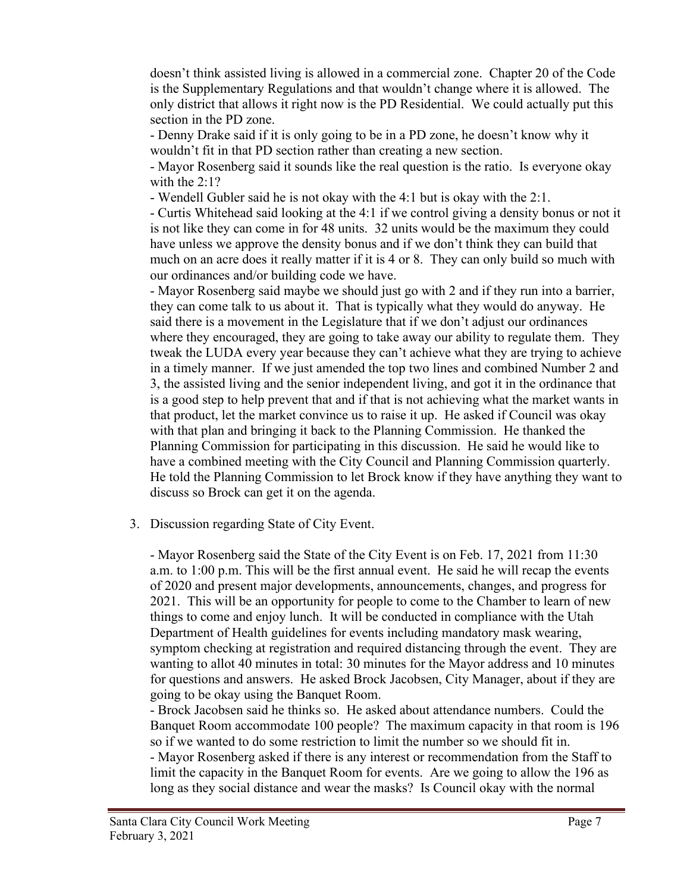doesn't think assisted living is allowed in a commercial zone. Chapter 20 of the Code is the Supplementary Regulations and that wouldn't change where it is allowed. The only district that allows it right now is the PD Residential. We could actually put this section in the PD zone.

- Denny Drake said if it is only going to be in a PD zone, he doesn't know why it wouldn't fit in that PD section rather than creating a new section.

- Mayor Rosenberg said it sounds like the real question is the ratio. Is everyone okay with the 2:1?

- Wendell Gubler said he is not okay with the 4:1 but is okay with the 2:1.

- Curtis Whitehead said looking at the 4:1 if we control giving a density bonus or not it is not like they can come in for 48 units. 32 units would be the maximum they could have unless we approve the density bonus and if we don't think they can build that much on an acre does it really matter if it is 4 or 8. They can only build so much with our ordinances and/or building code we have.

- Mayor Rosenberg said maybe we should just go with 2 and if they run into a barrier, they can come talk to us about it. That is typically what they would do anyway. He said there is a movement in the Legislature that if we don't adjust our ordinances where they encouraged, they are going to take away our ability to regulate them. They tweak the LUDA every year because they can't achieve what they are trying to achieve in a timely manner. If we just amended the top two lines and combined Number 2 and 3, the assisted living and the senior independent living, and got it in the ordinance that is a good step to help prevent that and if that is not achieving what the market wants in that product, let the market convince us to raise it up. He asked if Council was okay with that plan and bringing it back to the Planning Commission. He thanked the Planning Commission for participating in this discussion. He said he would like to have a combined meeting with the City Council and Planning Commission quarterly. He told the Planning Commission to let Brock know if they have anything they want to discuss so Brock can get it on the agenda.

3. Discussion regarding State of City Event.

- Mayor Rosenberg said the State of the City Event is on Feb. 17, 2021 from 11:30 a.m. to 1:00 p.m. This will be the first annual event. He said he will recap the events of 2020 and present major developments, announcements, changes, and progress for 2021. This will be an opportunity for people to come to the Chamber to learn of new things to come and enjoy lunch. It will be conducted in compliance with the Utah Department of Health guidelines for events including mandatory mask wearing, symptom checking at registration and required distancing through the event. They are wanting to allot 40 minutes in total: 30 minutes for the Mayor address and 10 minutes for questions and answers. He asked Brock Jacobsen, City Manager, about if they are going to be okay using the Banquet Room.

- Brock Jacobsen said he thinks so. He asked about attendance numbers. Could the Banquet Room accommodate 100 people? The maximum capacity in that room is 196 so if we wanted to do some restriction to limit the number so we should fit in. - Mayor Rosenberg asked if there is any interest or recommendation from the Staff to limit the capacity in the Banquet Room for events. Are we going to allow the 196 as long as they social distance and wear the masks? Is Council okay with the normal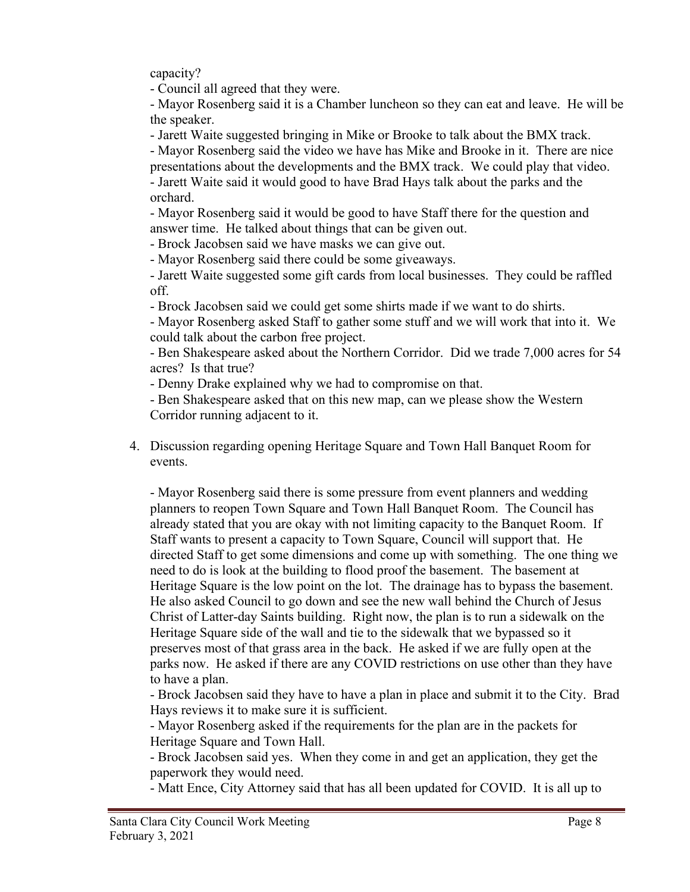capacity?

- Council all agreed that they were.

- Mayor Rosenberg said it is a Chamber luncheon so they can eat and leave. He will be the speaker.

- Jarett Waite suggested bringing in Mike or Brooke to talk about the BMX track.

- Mayor Rosenberg said the video we have has Mike and Brooke in it. There are nice presentations about the developments and the BMX track. We could play that video. - Jarett Waite said it would good to have Brad Hays talk about the parks and the orchard.

- Mayor Rosenberg said it would be good to have Staff there for the question and answer time. He talked about things that can be given out.

- Brock Jacobsen said we have masks we can give out.

- Mayor Rosenberg said there could be some giveaways.

- Jarett Waite suggested some gift cards from local businesses. They could be raffled off.

- Brock Jacobsen said we could get some shirts made if we want to do shirts.

- Mayor Rosenberg asked Staff to gather some stuff and we will work that into it. We could talk about the carbon free project.

- Ben Shakespeare asked about the Northern Corridor. Did we trade 7,000 acres for 54 acres? Is that true?

- Denny Drake explained why we had to compromise on that.

- Ben Shakespeare asked that on this new map, can we please show the Western Corridor running adjacent to it.

4. Discussion regarding opening Heritage Square and Town Hall Banquet Room for events.

- Mayor Rosenberg said there is some pressure from event planners and wedding planners to reopen Town Square and Town Hall Banquet Room. The Council has already stated that you are okay with not limiting capacity to the Banquet Room. If Staff wants to present a capacity to Town Square, Council will support that. He directed Staff to get some dimensions and come up with something. The one thing we need to do is look at the building to flood proof the basement. The basement at Heritage Square is the low point on the lot. The drainage has to bypass the basement. He also asked Council to go down and see the new wall behind the Church of Jesus Christ of Latter-day Saints building. Right now, the plan is to run a sidewalk on the Heritage Square side of the wall and tie to the sidewalk that we bypassed so it preserves most of that grass area in the back. He asked if we are fully open at the parks now. He asked if there are any COVID restrictions on use other than they have to have a plan.

- Brock Jacobsen said they have to have a plan in place and submit it to the City. Brad Hays reviews it to make sure it is sufficient.

- Mayor Rosenberg asked if the requirements for the plan are in the packets for Heritage Square and Town Hall.

- Brock Jacobsen said yes. When they come in and get an application, they get the paperwork they would need.

- Matt Ence, City Attorney said that has all been updated for COVID. It is all up to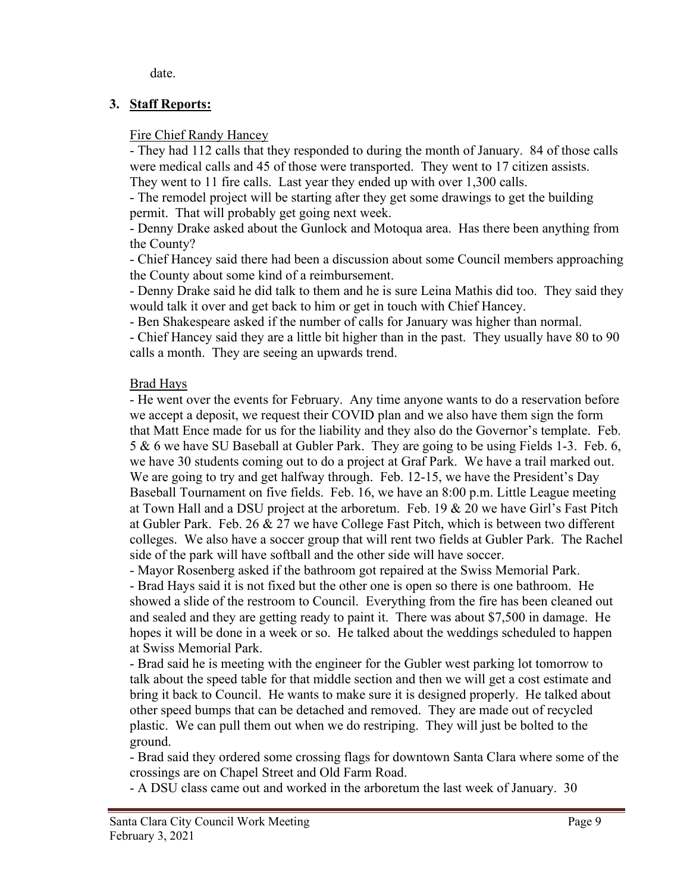date.

## **3. Staff Reports:**

### Fire Chief Randy Hancey

- They had 112 calls that they responded to during the month of January. 84 of those calls were medical calls and 45 of those were transported. They went to 17 citizen assists. They went to 11 fire calls. Last year they ended up with over 1,300 calls.

- The remodel project will be starting after they get some drawings to get the building permit. That will probably get going next week.

- Denny Drake asked about the Gunlock and Motoqua area. Has there been anything from the County?

- Chief Hancey said there had been a discussion about some Council members approaching the County about some kind of a reimbursement.

- Denny Drake said he did talk to them and he is sure Leina Mathis did too. They said they would talk it over and get back to him or get in touch with Chief Hancey.

- Ben Shakespeare asked if the number of calls for January was higher than normal.

- Chief Hancey said they are a little bit higher than in the past. They usually have 80 to 90 calls a month. They are seeing an upwards trend.

## Brad Hays

- He went over the events for February. Any time anyone wants to do a reservation before we accept a deposit, we request their COVID plan and we also have them sign the form that Matt Ence made for us for the liability and they also do the Governor's template. Feb. 5 & 6 we have SU Baseball at Gubler Park. They are going to be using Fields 1-3. Feb. 6, we have 30 students coming out to do a project at Graf Park. We have a trail marked out. We are going to try and get halfway through. Feb. 12-15, we have the President's Day Baseball Tournament on five fields. Feb. 16, we have an 8:00 p.m. Little League meeting at Town Hall and a DSU project at the arboretum. Feb. 19 & 20 we have Girl's Fast Pitch at Gubler Park. Feb. 26 & 27 we have College Fast Pitch, which is between two different colleges. We also have a soccer group that will rent two fields at Gubler Park. The Rachel side of the park will have softball and the other side will have soccer.

- Mayor Rosenberg asked if the bathroom got repaired at the Swiss Memorial Park.

- Brad Hays said it is not fixed but the other one is open so there is one bathroom. He showed a slide of the restroom to Council. Everything from the fire has been cleaned out and sealed and they are getting ready to paint it. There was about \$7,500 in damage. He hopes it will be done in a week or so. He talked about the weddings scheduled to happen at Swiss Memorial Park.

- Brad said he is meeting with the engineer for the Gubler west parking lot tomorrow to talk about the speed table for that middle section and then we will get a cost estimate and bring it back to Council. He wants to make sure it is designed properly. He talked about other speed bumps that can be detached and removed. They are made out of recycled plastic. We can pull them out when we do restriping. They will just be bolted to the ground.

- Brad said they ordered some crossing flags for downtown Santa Clara where some of the crossings are on Chapel Street and Old Farm Road.

- A DSU class came out and worked in the arboretum the last week of January. 30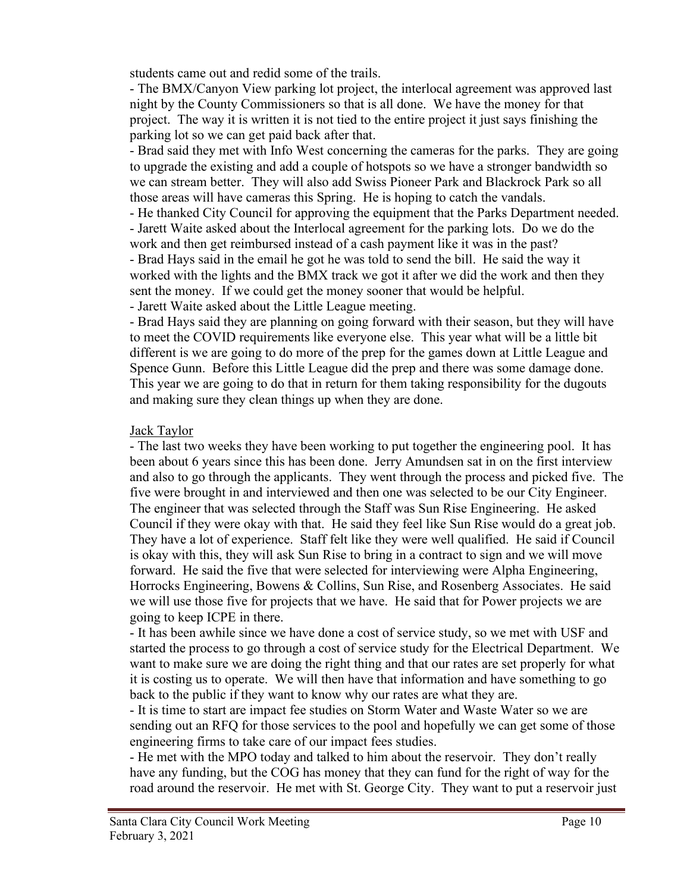students came out and redid some of the trails.

- The BMX/Canyon View parking lot project, the interlocal agreement was approved last night by the County Commissioners so that is all done. We have the money for that project. The way it is written it is not tied to the entire project it just says finishing the parking lot so we can get paid back after that.

- Brad said they met with Info West concerning the cameras for the parks. They are going to upgrade the existing and add a couple of hotspots so we have a stronger bandwidth so we can stream better. They will also add Swiss Pioneer Park and Blackrock Park so all those areas will have cameras this Spring. He is hoping to catch the vandals.

- He thanked City Council for approving the equipment that the Parks Department needed. - Jarett Waite asked about the Interlocal agreement for the parking lots. Do we do the work and then get reimbursed instead of a cash payment like it was in the past?

- Brad Hays said in the email he got he was told to send the bill. He said the way it worked with the lights and the BMX track we got it after we did the work and then they sent the money. If we could get the money sooner that would be helpful.

- Jarett Waite asked about the Little League meeting.

- Brad Hays said they are planning on going forward with their season, but they will have to meet the COVID requirements like everyone else. This year what will be a little bit different is we are going to do more of the prep for the games down at Little League and Spence Gunn. Before this Little League did the prep and there was some damage done. This year we are going to do that in return for them taking responsibility for the dugouts and making sure they clean things up when they are done.

### Jack Taylor

- The last two weeks they have been working to put together the engineering pool. It has been about 6 years since this has been done. Jerry Amundsen sat in on the first interview and also to go through the applicants. They went through the process and picked five. The five were brought in and interviewed and then one was selected to be our City Engineer. The engineer that was selected through the Staff was Sun Rise Engineering. He asked Council if they were okay with that. He said they feel like Sun Rise would do a great job. They have a lot of experience. Staff felt like they were well qualified. He said if Council is okay with this, they will ask Sun Rise to bring in a contract to sign and we will move forward. He said the five that were selected for interviewing were Alpha Engineering, Horrocks Engineering, Bowens & Collins, Sun Rise, and Rosenberg Associates. He said we will use those five for projects that we have. He said that for Power projects we are going to keep ICPE in there.

- It has been awhile since we have done a cost of service study, so we met with USF and started the process to go through a cost of service study for the Electrical Department. We want to make sure we are doing the right thing and that our rates are set properly for what it is costing us to operate. We will then have that information and have something to go back to the public if they want to know why our rates are what they are.

- It is time to start are impact fee studies on Storm Water and Waste Water so we are sending out an RFQ for those services to the pool and hopefully we can get some of those engineering firms to take care of our impact fees studies.

- He met with the MPO today and talked to him about the reservoir. They don't really have any funding, but the COG has money that they can fund for the right of way for the road around the reservoir. He met with St. George City. They want to put a reservoir just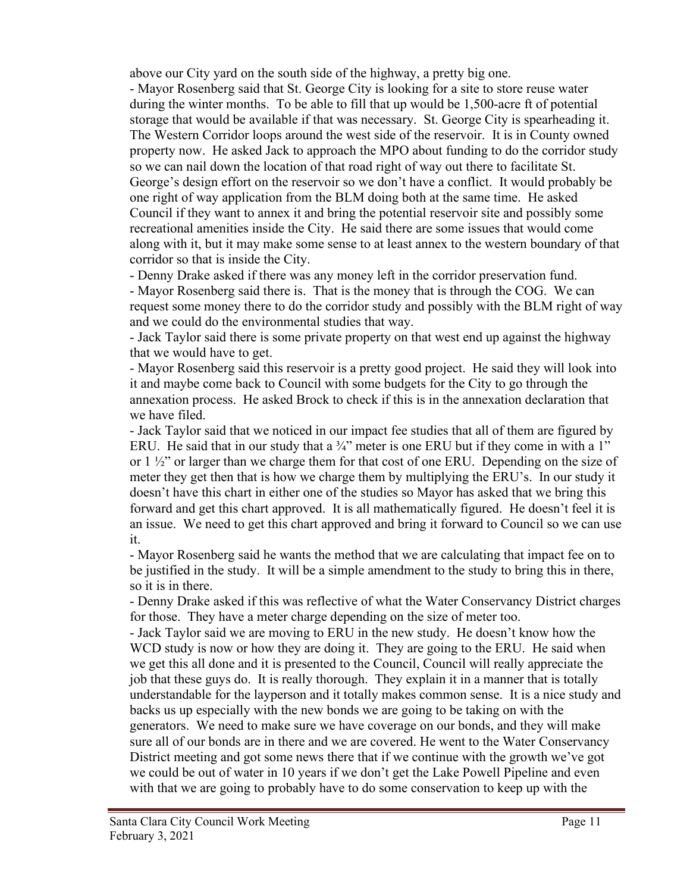above our City yard on the south side of the highway, a pretty big one.

- Mayor Rosenberg said that St. George City is looking for a site to store reuse water during the winter months. To be able to fill that up would be 1,500-acre ft of potential storage that would be available if that was necessary. St. George City is spearheading it. The Western Corridor loops around the west side of the reservoir. It is in County owned property now. He asked Jack to approach the MPO about funding to do the corridor study so we can nail down the location of that road right of way out there to facilitate St. George's design effort on the reservoir so we don't have a conflict. It would probably be one right of way application from the BLM doing both at the same time. He asked Council if they want to annex it and bring the potential reservoir site and possibly some recreational amenities inside the City. He said there are some issues that would come along with it, but it may make some sense to at least annex to the western boundary of that corridor so that is inside the City.

- Denny Drake asked if there was any money left in the corridor preservation fund.

- Mayor Rosenberg said there is. That is the money that is through the COG. We can request some money there to do the corridor study and possibly with the BLM right of way and we could do the environmental studies that way.

- Jack Taylor said there is some private property on that west end up against the highway that we would have to get.

- Mayor Rosenberg said this reservoir is a pretty good project. He said they will look into it and maybe come back to Council with some budgets for the City to go through the annexation process. He asked Brock to check if this is in the annexation declaration that we have filed.

- Jack Taylor said that we noticed in our impact fee studies that all of them are figured by ERU. He said that in our study that a  $\frac{3}{4}$ " meter is one ERU but if they come in with a 1" or  $1 \frac{1}{2}$ " or larger than we charge them for that cost of one ERU. Depending on the size of meter they get then that is how we charge them by multiplying the ERU's. In our study it doesn't have this chart in either one of the studies so Mayor has asked that we bring this forward and get this chart approved. It is all mathematically figured. He doesn't feel it is an issue. We need to get this chart approved and bring it forward to Council so we can use it.

- Mayor Rosenberg said he wants the method that we are calculating that impact fee on to be justified in the study. It will be a simple amendment to the study to bring this in there, so it is in there.

- Denny Drake asked if this was reflective of what the Water Conservancy District charges for those. They have a meter charge depending on the size of meter too.

- Jack Taylor said we are moving to ERU in the new study. He doesn't know how the WCD study is now or how they are doing it. They are going to the ERU. He said when we get this all done and it is presented to the Council, Council will really appreciate the job that these guys do. It is really thorough. They explain it in a manner that is totally understandable for the layperson and it totally makes common sense. It is a nice study and backs us up especially with the new bonds we are going to be taking on with the generators. We need to make sure we have coverage on our bonds, and they will make sure all of our bonds are in there and we are covered. He went to the Water Conservancy District meeting and got some news there that if we continue with the growth we've got we could be out of water in 10 years if we don't get the Lake Powell Pipeline and even with that we are going to probably have to do some conservation to keep up with the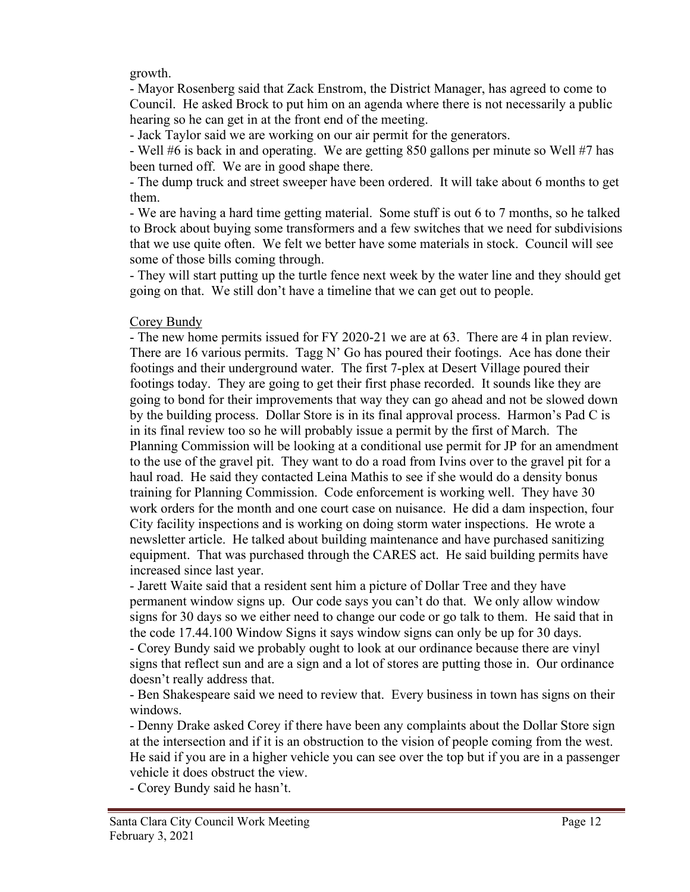#### growth.

- Mayor Rosenberg said that Zack Enstrom, the District Manager, has agreed to come to Council. He asked Brock to put him on an agenda where there is not necessarily a public hearing so he can get in at the front end of the meeting.

- Jack Taylor said we are working on our air permit for the generators.

- Well #6 is back in and operating. We are getting 850 gallons per minute so Well #7 has been turned off. We are in good shape there.

- The dump truck and street sweeper have been ordered. It will take about 6 months to get them.

- We are having a hard time getting material. Some stuff is out 6 to 7 months, so he talked to Brock about buying some transformers and a few switches that we need for subdivisions that we use quite often. We felt we better have some materials in stock. Council will see some of those bills coming through.

- They will start putting up the turtle fence next week by the water line and they should get going on that. We still don't have a timeline that we can get out to people.

#### Corey Bundy

- The new home permits issued for FY 2020-21 we are at 63. There are 4 in plan review. There are 16 various permits. Tagg N' Go has poured their footings. Ace has done their footings and their underground water. The first 7-plex at Desert Village poured their footings today. They are going to get their first phase recorded. It sounds like they are going to bond for their improvements that way they can go ahead and not be slowed down by the building process. Dollar Store is in its final approval process. Harmon's Pad C is in its final review too so he will probably issue a permit by the first of March. The Planning Commission will be looking at a conditional use permit for JP for an amendment to the use of the gravel pit. They want to do a road from Ivins over to the gravel pit for a haul road. He said they contacted Leina Mathis to see if she would do a density bonus training for Planning Commission. Code enforcement is working well. They have 30 work orders for the month and one court case on nuisance. He did a dam inspection, four City facility inspections and is working on doing storm water inspections. He wrote a newsletter article. He talked about building maintenance and have purchased sanitizing equipment. That was purchased through the CARES act. He said building permits have increased since last year.

- Jarett Waite said that a resident sent him a picture of Dollar Tree and they have permanent window signs up. Our code says you can't do that. We only allow window signs for 30 days so we either need to change our code or go talk to them. He said that in the code 17.44.100 Window Signs it says window signs can only be up for 30 days. - Corey Bundy said we probably ought to look at our ordinance because there are vinyl signs that reflect sun and are a sign and a lot of stores are putting those in. Our ordinance doesn't really address that.

- Ben Shakespeare said we need to review that. Every business in town has signs on their windows.

- Denny Drake asked Corey if there have been any complaints about the Dollar Store sign at the intersection and if it is an obstruction to the vision of people coming from the west. He said if you are in a higher vehicle you can see over the top but if you are in a passenger vehicle it does obstruct the view.

- Corey Bundy said he hasn't.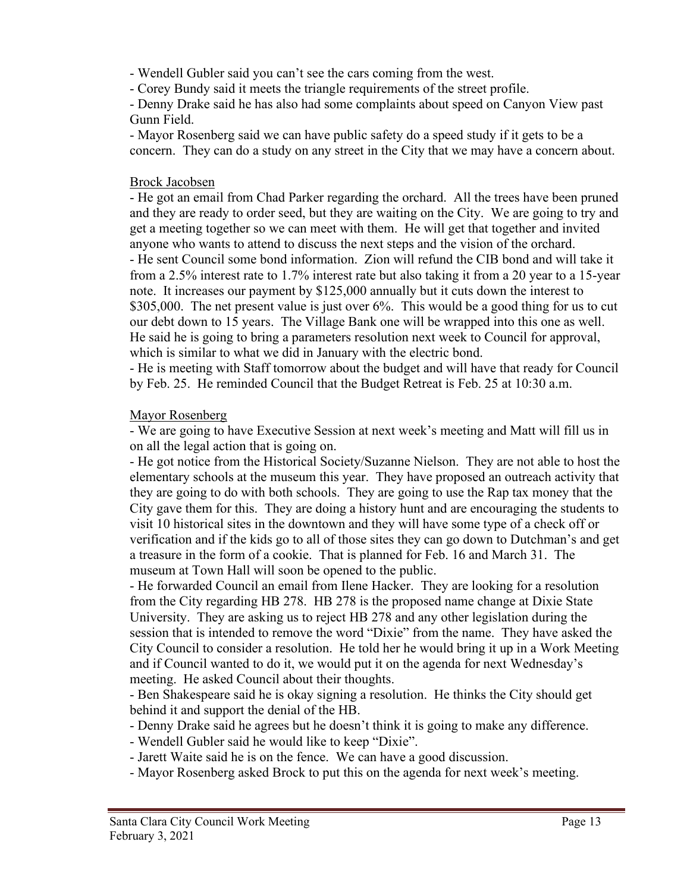- Wendell Gubler said you can't see the cars coming from the west.

- Corey Bundy said it meets the triangle requirements of the street profile.

- Denny Drake said he has also had some complaints about speed on Canyon View past Gunn Field.

- Mayor Rosenberg said we can have public safety do a speed study if it gets to be a concern. They can do a study on any street in the City that we may have a concern about.

### Brock Jacobsen

- He got an email from Chad Parker regarding the orchard. All the trees have been pruned and they are ready to order seed, but they are waiting on the City. We are going to try and get a meeting together so we can meet with them. He will get that together and invited anyone who wants to attend to discuss the next steps and the vision of the orchard. - He sent Council some bond information. Zion will refund the CIB bond and will take it from a 2.5% interest rate to 1.7% interest rate but also taking it from a 20 year to a 15-year note. It increases our payment by \$125,000 annually but it cuts down the interest to \$305,000. The net present value is just over 6%. This would be a good thing for us to cut our debt down to 15 years. The Village Bank one will be wrapped into this one as well. He said he is going to bring a parameters resolution next week to Council for approval, which is similar to what we did in January with the electric bond.

- He is meeting with Staff tomorrow about the budget and will have that ready for Council by Feb. 25. He reminded Council that the Budget Retreat is Feb. 25 at 10:30 a.m.

## Mayor Rosenberg

- We are going to have Executive Session at next week's meeting and Matt will fill us in on all the legal action that is going on.

- He got notice from the Historical Society/Suzanne Nielson. They are not able to host the elementary schools at the museum this year. They have proposed an outreach activity that they are going to do with both schools. They are going to use the Rap tax money that the City gave them for this. They are doing a history hunt and are encouraging the students to visit 10 historical sites in the downtown and they will have some type of a check off or verification and if the kids go to all of those sites they can go down to Dutchman's and get a treasure in the form of a cookie. That is planned for Feb. 16 and March 31. The museum at Town Hall will soon be opened to the public.

- He forwarded Council an email from Ilene Hacker. They are looking for a resolution from the City regarding HB 278. HB 278 is the proposed name change at Dixie State University. They are asking us to reject HB 278 and any other legislation during the session that is intended to remove the word "Dixie" from the name. They have asked the City Council to consider a resolution. He told her he would bring it up in a Work Meeting and if Council wanted to do it, we would put it on the agenda for next Wednesday's meeting. He asked Council about their thoughts.

- Ben Shakespeare said he is okay signing a resolution. He thinks the City should get behind it and support the denial of the HB.

- Denny Drake said he agrees but he doesn't think it is going to make any difference.
- Wendell Gubler said he would like to keep "Dixie".
- Jarett Waite said he is on the fence. We can have a good discussion.
- Mayor Rosenberg asked Brock to put this on the agenda for next week's meeting.